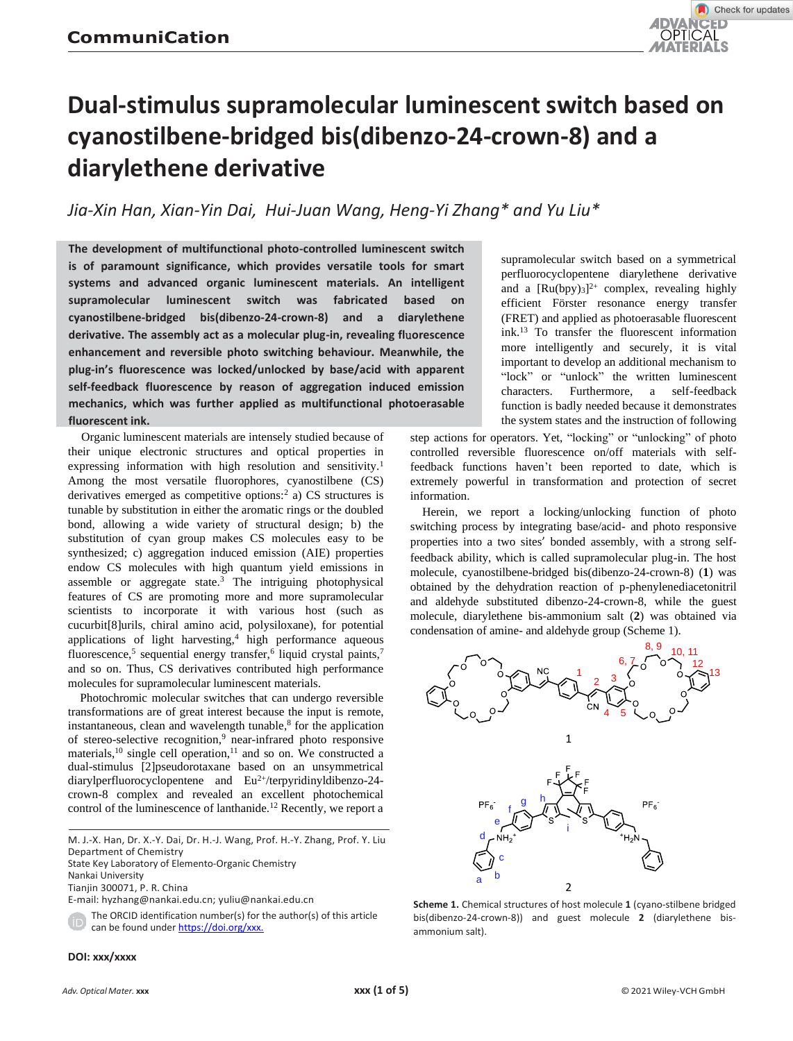

# **Dual-stimulus supramolecular luminescent switch based on cyanostilbene-bridged bis(dibenzo-24-crown-8) and a diarylethene derivative**

*Jia-Xin Han, Xian-Yin Dai, Hui-Juan Wang, Heng-Yi Zhang\* and Yu Liu\**

**The development of multifunctional photo-controlled luminescent switch is of paramount significance, which provides versatile tools for smart systems and advanced organic luminescent materials. An intelligent supramolecular luminescent switch was fabricated based on cyanostilbene-bridged bis(dibenzo-24-crown-8) and a diarylethene derivative. The assembly act as a molecular plug-in, revealing fl**u**orescence enhancement and reversible photo switching behaviour. Meanwhile, the plug-in's fluorescence was locked/unlocked by base/acid with apparent self-feedback fluorescence by reason of aggregation induced emission mechanics, which was further applied as multifunctional photoerasable fluorescent ink.**

Organic luminescent materials are intensely studied because of their unique electronic structures and optical properties in expressing information with high resolution and sensitivity.<sup>1</sup> Among the most versatile fluorophores, cyanostilbene (CS) derivatives emerged as competitive options:<sup>2</sup> a) CS structures is tunable by substitution in either the aromatic rings or the doubled bond, allowing a wide variety of structural design; b) the substitution of cyan group makes CS molecules easy to be synthesized; c) aggregation induced emission (AIE) properties endow CS molecules with high quantum yield emissions in assemble or aggregate state.<sup>3</sup> The intriguing photophysical features of CS are promoting more and more supramolecular scientists to incorporate it with various host (such as cucurbit[8]urils, chiral amino acid, polysiloxane), for potential applications of light harvesting,<sup>4</sup> high performance aqueous fluorescence,<sup>5</sup> sequential energy transfer,<sup>6</sup> liquid crystal paints,<sup>7</sup> and so on. Thus, CS derivatives contributed high performance molecules for supramolecular luminescent materials.

Photochromic molecular switches that can undergo reversible transformations are of great interest because the input is remote, instantaneous, clean and wavelength tunable, 8 for the application of stereo-selective recognition,<sup>9</sup> near-infrared photo responsive materials,<sup>10</sup> single cell operation,<sup>11</sup> and so on. We constructed a dual-stimulus [2]pseudorotaxane based on an unsymmetrical diarylperfluorocyclopentene and Eu<sup>2+</sup>/terpyridinyldibenzo-24crown-8 complex and revealed an excellent photochemical control of the luminescence of lanthanide.<sup>12</sup> Recently, we report a

M. J.-X. Han, Dr. X.-Y. Dai, Dr. H.-J. Wang, Prof. H.-Y. Zhang, Prof. Y. Liu Department of Chemistry

State Key Laboratory of Elemento-Organic Chemistry

Nankai University

Tianjin 300071, P. R. China

E-mail: hyzhang@nankai.edu.cn[; yuliu@nankai.edu.cn](mailto:yuliu@nankai.edu.cn)

The ORCID identification number(s) for the author(s) of this article can be found unde[r https://doi.org/xxx.](https://doi.org/xxx.)

supramolecular switch based on a symmetrical perfluorocyclopentene diarylethene derivative and a  $[Ru(bpy)_{3}]^{2+}$  complex, revealing highly efficient Förster resonance energy transfer (FRET) and applied as photoerasable fluorescent ink.<sup>13</sup> To transfer the fluorescent information more intelligently and securely, it is vital important to develop an additional mechanism to "lock" or "unlock" the written luminescent characters. Furthermore, a self-feedback function is badly needed because it demonstrates the system states and the instruction of following

step actions for operators. Yet, "locking" or "unlocking" of photo controlled reversible fluorescence on/off materials with selffeedback functions haven't been reported to date, which is extremely powerful in transformation and protection of secret information.

Herein, we report a locking/unlocking function of photo switching process by integrating base/acid- and photo responsive properties into a two sites' bonded assembly, with a strong selffeedback ability, which is called supramolecular plug-in. The host molecule, cyanostilbene-bridged bis(dibenzo-24-crown-8) (**1**) was obtained by the dehydration reaction of p-phenylenediacetonitril and aldehyde substituted dibenzo-24-crown-8, while the guest molecule, diarylethene bis-ammonium salt (**2**) was obtained via condensation of amine- and aldehyde group (Scheme 1).



**Scheme 1.** Chemical structures of host molecule **1** (cyano-stilbene bridged bis(dibenzo-24-crown-8)) and guest molecule **2** (diarylethene bisammonium salt).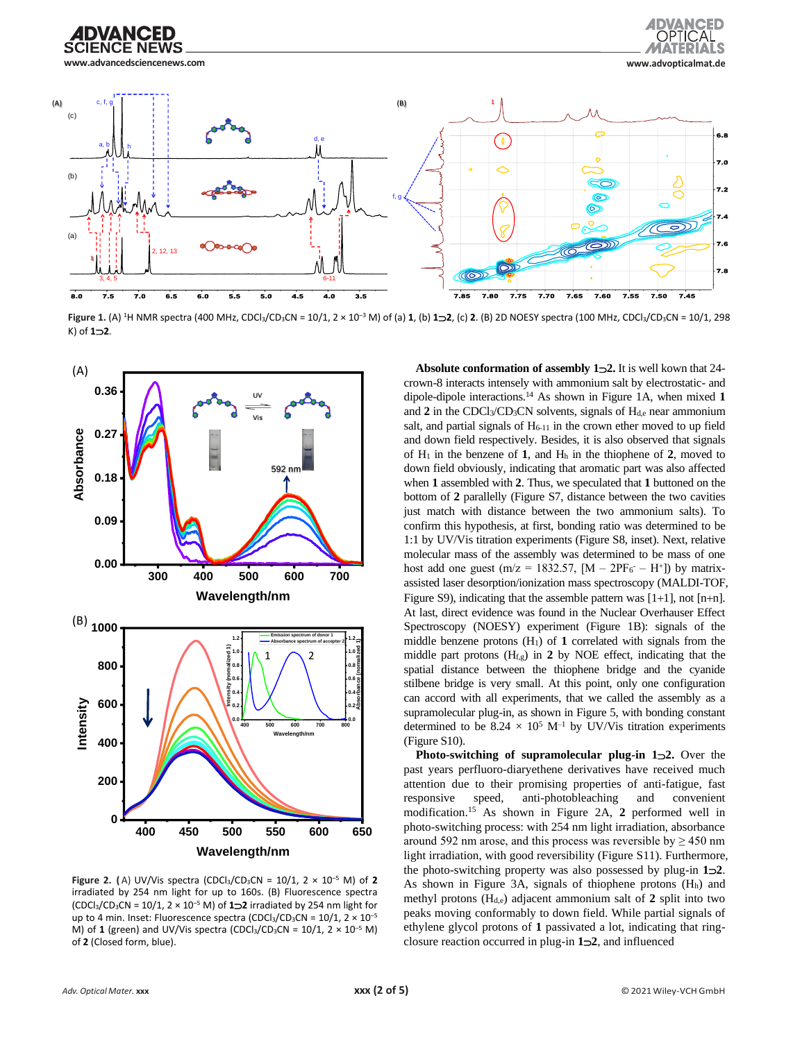





**Figure** 1. (A) <sup>1</sup>H NMR spectra (400 MHz, CDCl<sub>3</sub>/CD<sub>3</sub>CN = 10/1, 2 × 10<sup>-3</sup> M) of (a) 1, (b) **1 2**, (c) **2**. (B) 2D NOESY spectra (100 MHz, CDCl<sub>3</sub>/CD<sub>3</sub>CN = 10/1, 298 K) of **12**.



**Figure 2.** (A) UV/Vis spectra (CDCl<sub>3</sub>/CD<sub>3</sub>CN =  $10/1$ , 2 ×  $10^{-5}$  M) of **2** irradiated by 254 nm light for up to 160s. (B) Fluorescence spectra (CDCl3/CD3CN = 10/1, 2 × 10‒<sup>5</sup> M) of **12** irradiated by 254 nm light for up to 4 min. Inset: Fluorescence spectra (CDCl<sub>3</sub>/CD<sub>3</sub>CN =  $10/1$ , 2  $\times$   $10^{-5}$ M) of 1 (green) and UV/Vis spectra (CDCl<sub>3</sub>/CD<sub>3</sub>CN =  $10/1$ , 2  $\times$  10<sup>-5</sup> M) of **2** (Closed form, blue).

**Absolute conformation of assembly 12.** It is well kown that 24 crown-8 interacts intensely with ammonium salt by electrostatic- and dipole-dipole interactions.<sup>14</sup> As shown in Figure 1A, when mixed **1** and 2 in the CDCl<sub>3</sub>/CD<sub>3</sub>CN solvents, signals of H<sub>d,e</sub> near ammonium salt, and partial signals of  $H<sub>6-11</sub>$  in the crown ether moved to up field and down field respectively. Besides, it is also observed that signals of H<sup>1</sup> in the benzene of **1**, and H<sup>h</sup> in the thiophene of **2**, moved to down field obviously, indicating that aromatic part was also affected when **1** assembled with **2**. Thus, we speculated that **1** buttoned on the bottom of **2** parallelly (Figure S7, distance between the two cavities just match with distance between the two ammonium salts). To confirm this hypothesis, at first, bonding ratio was determined to be 1:1 by UV/Vis titration experiments (Figure S8, inset). Next, relative molecular mass of the assembly was determined to be mass of one host add one guest ( $m/z = 1832.57$ ,  $[M - 2PF_6 - H^+]$ ) by matrixassisted laser desorption/ionization mass spectroscopy (MALDI-TOF, Figure S9), indicating that the assemble pattern was [1+1], not [n+n]. At last, direct evidence was found in the Nuclear Overhauser Effect Spectroscopy (NOESY) experiment (Figure 1B): signals of the  $\lim_{n \to \infty}$  middle benzene protons (H<sub>1</sub>) of **1** correlated with signals from the  $\lim_{n \to \infty}$  middle part protons (H<sub>f,g</sub>) in **2** by NOE effect, indicating that the **e** spatial distance between the thiophene bridge and the cyanide <sup>0.6</sup><sup>8</sup>/<sub>8</sub> stilbene bridge is very small. At this point, only one configuration <sup>0.4</sup><sup>8</sup> can accord with all experiments, that we called the assembly as a supramolecular plug-in, as shown in Figure 5, with bonding constant  $\frac{400}{400}$  **600 700 0.0**<br>determined to be  $8.24 \times 10^5$  M<sup>-1</sup> by UV/Vis titration experiments

**Photo-switching of supramolecular plug-in 1<sup>2</sup>. Over the** past years perfluoro-diaryethene derivatives have received much attention due to their promising properties of anti-fatigue, fast responsive speed, anti-photobleaching and convenient modification.<sup>15</sup> As shown in Figure 2A, **2** performed well in photo-switching process: with 254 nm light irradiation, absorbance **400 450 500 550 600 650** around 592 nm arose, and this process was reversible by  $\geq$  450 nm light irradiation, with good reversibility (Figure S11). Furthermore, the photo-switching property was also possessed by plug-in **12**. As shown in Figure 3A, signals of thiophene protons  $(H<sub>h</sub>)$  and methyl protons  $(H_{d,e})$  adjacent ammonium salt of 2 split into two peaks moving conformably to down field. While partial signals of ethylene glycol protons of **1** passivated a lot, indicating that ringclosure reaction occurred in plug-in **12**, and influenced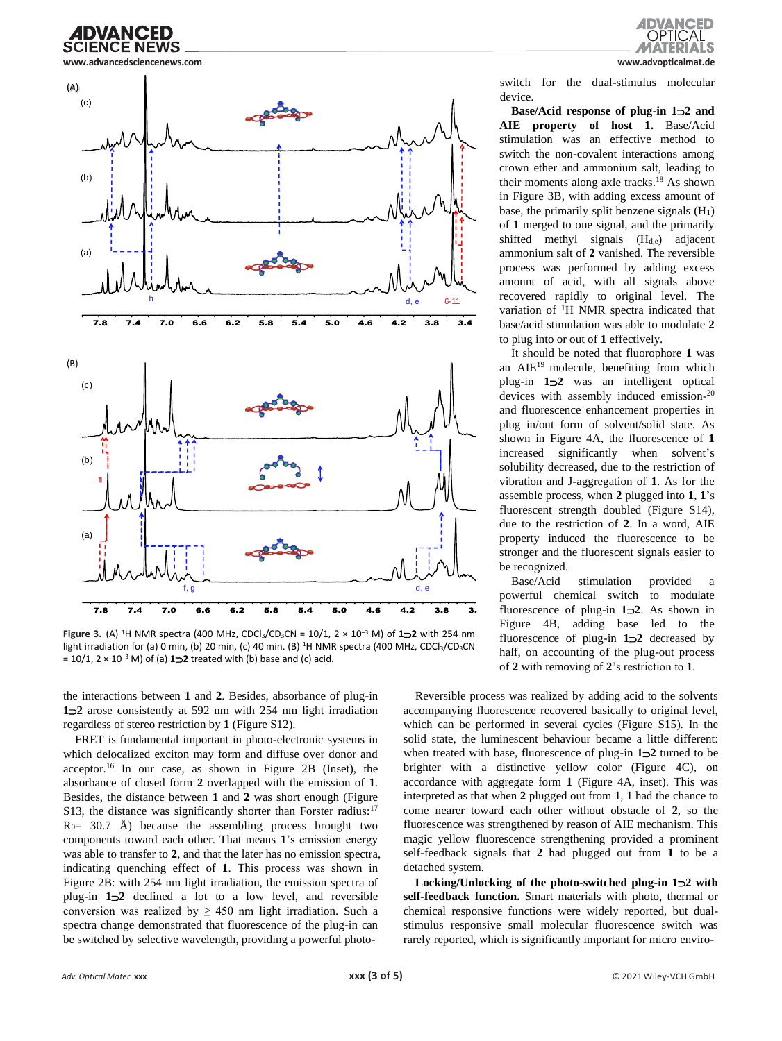



**Figure 3.** (A) <sup>1</sup>H NMR spectra (400 MHz, CDCl3/CD3CN = 10/1, 2 × 10‒<sup>3</sup> M) of **12** with 254 nm light irradiation for (a) 0 min, (b) 20 min, (c) 40 min. (B) <sup>1</sup>H NMR spectra (400 MHz, CDCl<sub>3</sub>/CD<sub>3</sub>CN  $= 10/1$ ,  $2 \times 10^{-3}$  M) of (a)  $1\rightarrow 2$  treated with (b) base and (c) acid.

the interactions between **1** and **2**. Besides, absorbance of plug-in **12** arose consistently at 592 nm with 254 nm light irradiation regardless of stereo restriction by **1** (Figure S12).

FRET is fundamental important in photo-electronic systems in which delocalized exciton may form and diffuse over donor and acceptor.<sup>16</sup> In our case, as shown in Figure 2B (Inset), the absorbance of closed form **2** overlapped with the emission of **1**. Besides, the distance between **1** and **2** was short enough (Figure S13, the distance was significantly shorter than Forster radius:<sup>17</sup>  $R<sub>0</sub>= 30.7$  Å) because the assembling process brought two components toward each other. That means **1**'s emission energy was able to transfer to **2**, and that the later has no emission spectra, indicating quenching effect of **1**. This process was shown in Figure 2B: with 254 nm light irradiation, the emission spectra of plug-in **12** declined a lot to a low level, and reversible conversion was realized by  $\geq 450$  nm light irradiation. Such a spectra change demonstrated that fluorescence of the plug-in can be switched by selective wavelength, providing a powerful photo-



switch for the dual-stimulus molecular device.

**Base/Acid response of plug-in 12 and AIE property of host 1.** Base/Acid stimulation was an effective method to switch the non-covalent interactions among crown ether and ammonium salt, leading to their moments along axle tracks.<sup>18</sup> As shown in Figure 3B, with adding excess amount of base, the primarily split benzene signals  $(H<sub>1</sub>)$ of **1** merged to one signal, and the primarily shifted methyl signals (H<sub>d,e</sub>) adjacent ammonium salt of **2** vanished. The reversible process was performed by adding excess amount of acid, with all signals above recovered rapidly to original level. The variation of <sup>1</sup>H NMR spectra indicated that base/acid stimulation was able to modulate **2** to plug into or out of **1** effectively.

It should be noted that fluorophore **1** was an  $AIE<sup>19</sup>$  molecule, benefiting from which plug-in **12** was an intelligent optical devices with assembly induced emission-20 and fluorescence enhancement properties in plug in/out form of solvent/solid state. As shown in Figure 4A, the fluorescence of **1** increased significantly when solvent's solubility decreased, due to the restriction of vibration and J-aggregation of **1**. As for the assemble process, when **2** plugged into **1**, **1**'s fluorescent strength doubled (Figure S14), due to the restriction of **2**. In a word, AIE property induced the fluorescence to be stronger and the fluorescent signals easier to be recognized.

Base/Acid stimulation provided a powerful chemical switch to modulate fluorescence of plug-in **12**. As shown in Figure 4B, adding base led to the fluorescence of plug-in **12** decreased by half, on accounting of the plug-out process of **2** with removing of **2**'s restriction to **1**.

Reversible process was realized by adding acid to the solvents accompanying fluorescence recovered basically to original level, which can be performed in several cycles (Figure S15). In the solid state, the luminescent behaviour became a little different: when treated with base, fluorescence of plug-in **12** turned to be brighter with a distinctive yellow color (Figure 4C), on accordance with aggregate form **1** (Figure 4A, inset). This was interpreted as that when **2** plugged out from **1**, **1** had the chance to come nearer toward each other without obstacle of **2**, so the fluorescence was strengthened by reason of AIE mechanism. This magic yellow fluorescence strengthening provided a prominent self-feedback signals that **2** had plugged out from **1** to be a detached system.

**Locking/Unlocking of the photo-switched plug-in 12 with self-feedback function.** Smart materials with photo, thermal or chemical responsive functions were widely reported, but dualstimulus responsive small molecular fluorescence switch was rarely reported, which is significantly important for micro enviro-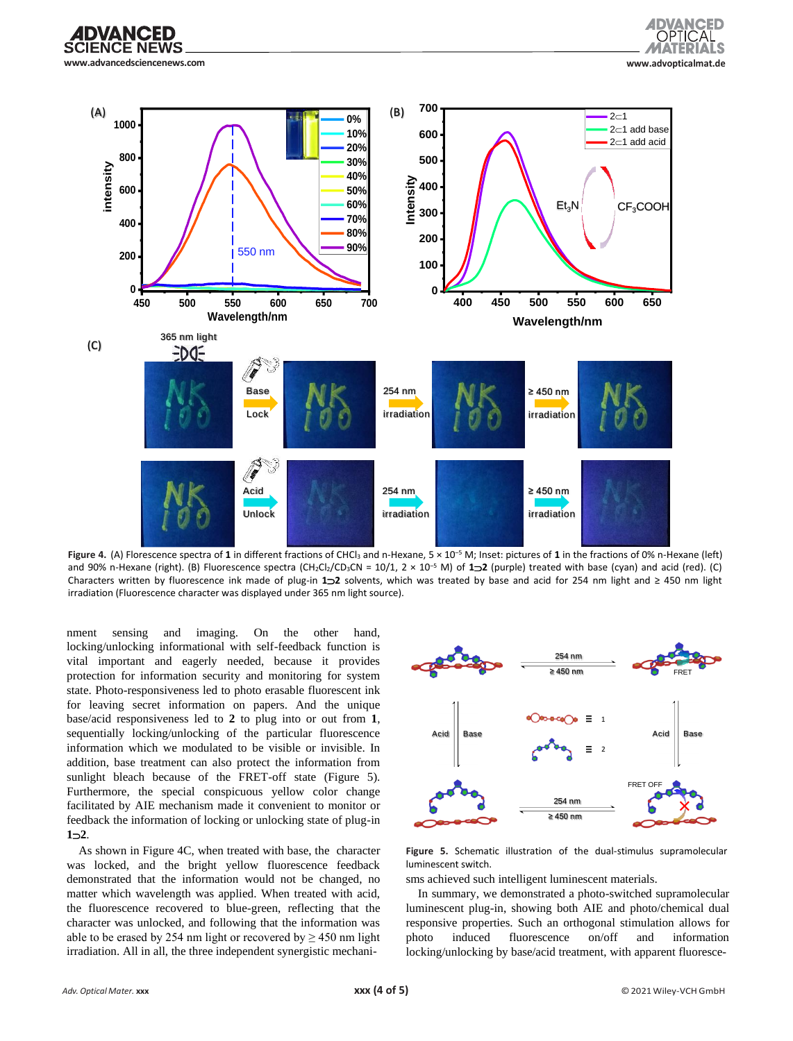





Figure 4. (A) Florescence spectra of 1 in different fractions of CHCl<sub>3</sub> and n-Hexane, 5 × 10<sup>-5</sup> M; Inset: pictures of 1 in the fractions of 0% n-Hexane (left) and 90% n-Hexane (right). (B) Fluorescence spectra (CH<sub>2</sub>Cl<sub>2</sub>/CD<sub>3</sub>CN = 10/1, 2 × 10<sup>-5</sup> M) of **122** (purple) treated with base (cyan) and acid (red). (C) Characters written by fluorescence ink made of plug-in **12** solvents, which was treated by base and acid for 254 nm light and ≥ 450 nm light irradiation (Fluorescence character was displayed under 365 nm light source).

nment sensing and imaging. On the other hand, locking/unlocking informational with self-feedback function is vital important and eagerly needed, because it provides protection for information security and monitoring for system state. Photo-responsiveness led to photo erasable fluorescent ink for leaving secret information on papers. And the unique base/acid responsiveness led to **2** to plug into or out from **1**, sequentially locking/unlocking of the particular fluorescence information which we modulated to be visible or invisible. In addition, base treatment can also protect the information from sunlight bleach because of the FRET-off state (Figure 5). Furthermore, the special conspicuous yellow color change facilitated by AIE mechanism made it convenient to monitor or feedback the information of locking or unlocking state of plug-in  $1 - 2$ .

As shown in Figure 4C, when treated with base, the character was locked, and the bright yellow fluorescence feedback demonstrated that the information would not be changed, no matter which wavelength was applied. When treated with acid, the fluorescence recovered to blue-green, reflecting that the character was unlocked, and following that the information was able to be erased by 254 nm light or recovered by  $\geq$  450 nm light irradiation. All in all, the three independent synergistic mechani-



**Figure 5.** Schematic illustration of the dual-stimulus supramolecular luminescent switch.

sms achieved such intelligent luminescent materials.

In summary, we demonstrated a photo-switched supramolecular luminescent plug-in, showing both AIE and photo/chemical dual responsive properties. Such an orthogonal stimulation allows for photo induced fluorescence on/off and information locking/unlocking by base/acid treatment, with apparent fluoresce